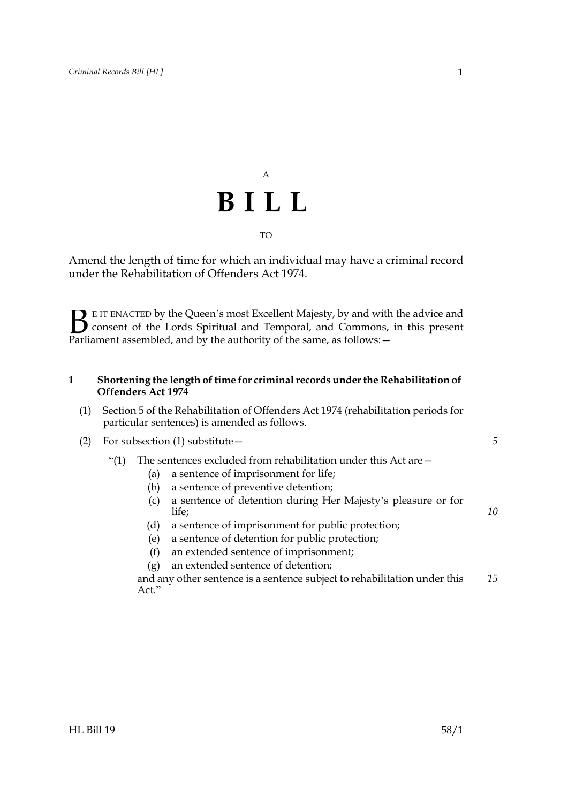# A **BILL** TO

Amend the length of time for which an individual may have a criminal record under the Rehabilitation of Offenders Act 1974.

E IT ENACTED by the Queen's most Excellent Majesty, by and with the advice and consent of the Lords Spiritual and Temporal, and Commons, in this present **B** E IT ENACTED by the Queen's most Excellent Majesty, by and with consent of the Lords Spiritual and Temporal, and Commons, Parliament assembled, and by the authority of the same, as follows:  $-$ 

### <span id="page-0-0"></span>**1 Shortening the length of time for criminal records under the Rehabilitation of Offenders Act 1974**

- (1) Section 5 of the Rehabilitation of Offenders Act 1974 (rehabilitation periods for particular sentences) is amended as follows.
- (2) For subsection (1) substitute—
	- "(1) The sentences excluded from rehabilitation under this Act are  $-$ 
		- (a) a sentence of imprisonment for life;
		- (b) a sentence of preventive detention;
		- (c) a sentence of detention during Her Majesty's pleasure or for life;
		- (d) a sentence of imprisonment for public protection;
		- (e) a sentence of detention for public protection;
		- (f) an extended sentence of imprisonment;
		- (g) an extended sentence of detention;

and any other sentence is a sentence subject to rehabilitation under this Act." *15*

*5*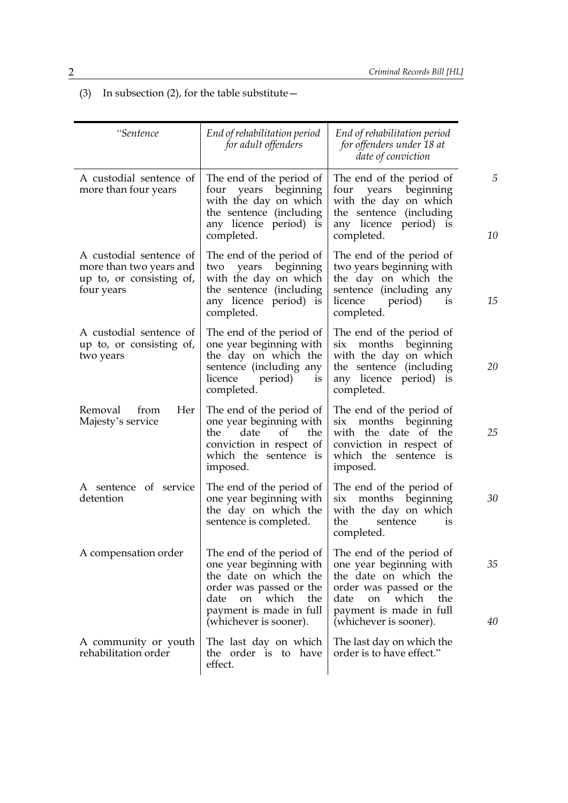(3) In subsection (2), for the table substitute  $-$ 

| "Sentence                                                                                    | End of rehabilitation period<br>for adult offenders                                                                                                                                     | End of rehabilitation period<br>for offenders under 18 at<br>date of conviction                                                                                                            |
|----------------------------------------------------------------------------------------------|-----------------------------------------------------------------------------------------------------------------------------------------------------------------------------------------|--------------------------------------------------------------------------------------------------------------------------------------------------------------------------------------------|
| A custodial sentence of<br>more than four years                                              | The end of the period of<br>four years beginning<br>with the day on which<br>the sentence (including<br>any licence period) is<br>completed.                                            | The end of the period of<br>four years beginning<br>with the day on which<br>the sentence (including<br>any licence period) is<br>completed.                                               |
| A custodial sentence of<br>more than two years and<br>up to, or consisting of,<br>four years | The end of the period of<br>beginning<br>years<br>two<br>with the day on which<br>the sentence (including<br>any licence period) is<br>completed.                                       | The end of the period of<br>two years beginning with<br>the day on which the<br>sentence (including any<br>licence<br>period)<br>is<br>completed.                                          |
| A custodial sentence of<br>up to, or consisting of,<br>two years                             | The end of the period of<br>one year beginning with<br>the day on which the<br>sentence (including any<br>licence<br>period)<br><i>is</i><br>completed.                                 | The end of the period of<br>six months beginning<br>with the day on which<br>the sentence (including<br>any licence period) is<br>completed.                                               |
| Her<br>from<br>Removal<br>Majesty's service                                                  | The end of the period of<br>one year beginning with<br>date<br>of<br>the<br>the<br>conviction in respect of<br>which the sentence is<br>imposed.                                        | The end of the period of<br>beginning<br>months<br>$\rm{six}$<br>with the date of the<br>conviction in respect of<br>which the sentence is<br>imposed.                                     |
| A sentence of service<br>detention                                                           | The end of the period of<br>one year beginning with<br>the day on which the<br>sentence is completed.                                                                                   | The end of the period of<br>six months beginning<br>with the day on which<br>the<br>sentence<br><i>is</i><br>completed.                                                                    |
| A compensation order                                                                         | The end of the period of<br>one year beginning with<br>the date on which the<br>order was passed or the<br>on which<br>date<br>the<br>payment is made in full<br>(whichever is sooner). | The end of the period of<br>one year beginning with<br>the date on which the<br>order was passed or the<br>date<br>which<br>the<br>on<br>payment is made in full<br>(whichever is sooner). |
| A community or youth<br>rehabilitation order                                                 | The last day on which<br>the order is to have<br>effect.                                                                                                                                | The last day on which the<br>order is to have effect."                                                                                                                                     |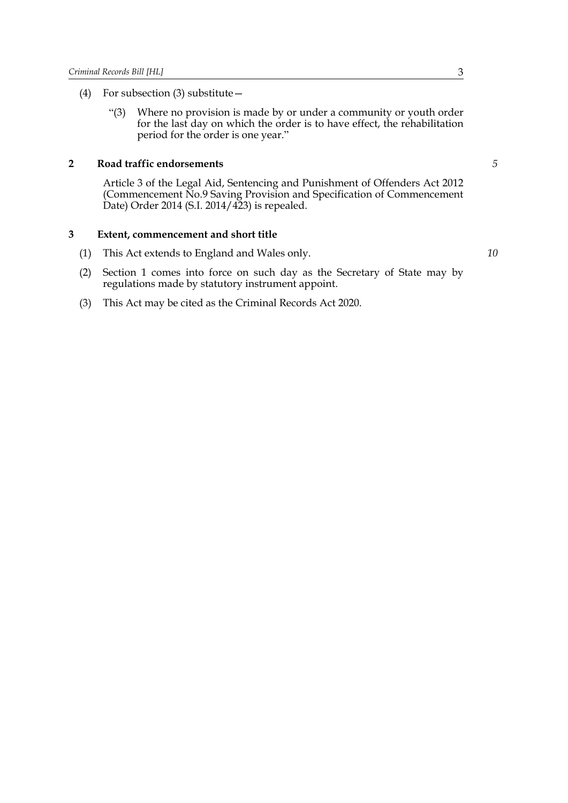- (4) For subsection (3) substitute—
	- "(3) Where no provision is made by or under a community or youth order for the last day on which the order is to have effect, the rehabilitation period for the order is one year."

#### **2 Road traffic endorsements**

Article 3 of the Legal Aid, Sentencing and Punishment of Offenders Act 2012 (Commencement No.9 Saving Provision and Specification of Commencement Date) Order 2014 (S.I. 2014/423) is repealed.

#### **3 Extent, commencement and short title**

- (1) This Act extends to England and Wales only.
- (2) Section [1](#page-0-0) comes into force on such day as the Secretary of State may by regulations made by statutory instrument appoint.
- (3) This Act may be cited as the Criminal Records Act 2020.

*10*

*5*